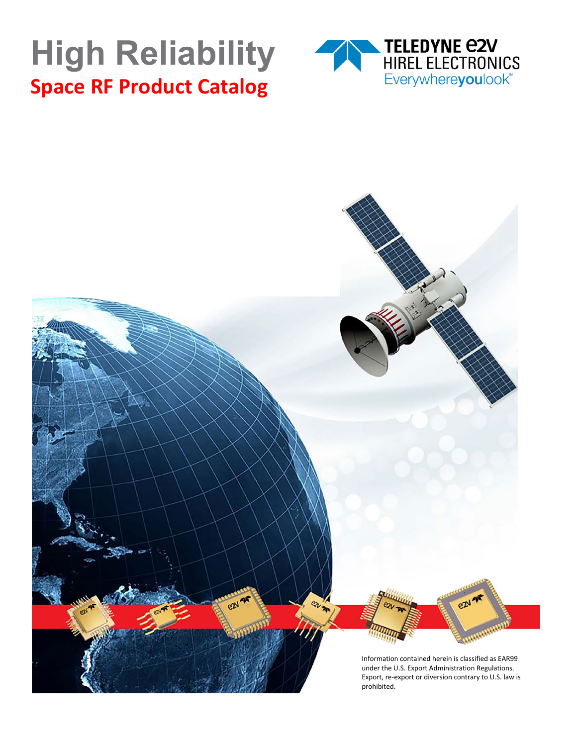# **High Reliability Space RF Product Catalog**



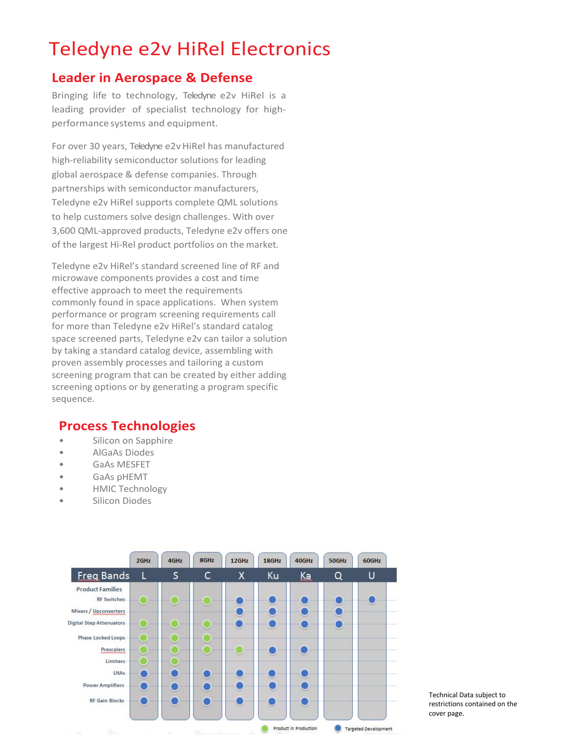# Teledyne e2v HiRel Electronics

#### **Leader in Aerospace & Defense**

Bringing life to technology, Teledyne e2v HiRel is a leading provider of specialist technology for highperformancesystems and equipment.

For over 30 years, Teledyne e2v HiRel has manufactured high-reliability semiconductor solutions for leading global aerospace & defense companies. Through partnerships with semiconductor manufacturers, Teledyne e2v HiRel supports complete QML solutions to help customers solve design challenges. With over 3,600 QML-approved products, Teledyne e2v offers one of the largest Hi-Rel product portfolios on the market.

Teledyne e2v HiRel's standard screened line of RF and microwave components provides a cost and time effective approach to meet the requirements commonly found in space applications. When system performance or program screening requirements call for more than Teledyne e2v HiRel's standard catalog space screened parts, Teledyne e2v can tailor a solution by taking a standard catalog device, assembling with proven assembly processes and tailoring a custom screening program that can be created by either adding screening options or by generating a program specific sequence.

#### **Process Technologies**

- Silicon on Sapphire
- AlGaAs Diodes
- GaAs MESFET
- GaAs pHEMT
- HMIC Technology
- Silicon Diodes



Technical Data subject to Technical Data subject to restrictions contained on the restrictions contained on the cover page. cover page.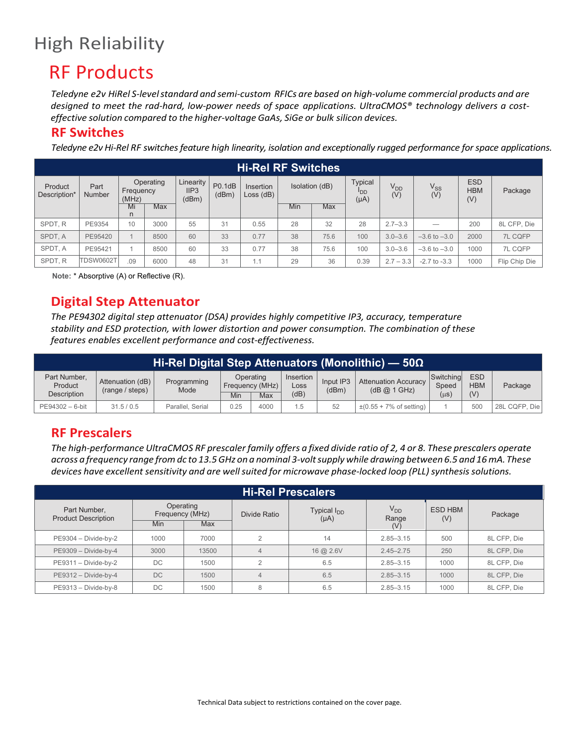# High Reliability

### RF Products

*Teledyne e2v HiRel S-levelstandard and semi-custom RFICs are based on high-volume commercial products and are designed to meet the rad-hard, low-power needs of space applications. UltraCMOS® technology delivers a costeffective solution compared to the higher-voltage GaAs, SiGe or bulk silicon devices.*

#### **RF Switches**

*Teledyne e2v Hi-Rel RF switches feature high linearity, isolation and exceptionally rugged performance for space applications.*

| <b>Hi-Rel RF Switches</b> |                       |                    |           |                            |                 |                              |                |            |                                                |                        |                        |                                 |               |  |
|---------------------------|-----------------------|--------------------|-----------|----------------------------|-----------------|------------------------------|----------------|------------|------------------------------------------------|------------------------|------------------------|---------------------------------|---------------|--|
| Product<br>Description*   | Part<br><b>Number</b> | Frequency<br>(MHz) | Operating | Linearity<br>IIP3<br>(dBm) | P0.1dB<br>(dBm) | Insertion<br>$Loss$ ( $dB$ ) | Isolation (dB) |            | <b>Typical</b><br><sup>I</sup> DD<br>$(\mu A)$ | V <sub>DD</sub><br>(V) | V <sub>SS</sub><br>(V) | <b>ESD</b><br><b>HBM</b><br>(V) | Package       |  |
|                           |                       | Mi<br>n            | Max       |                            |                 |                              | Min            | <b>Max</b> |                                                |                        |                        |                                 |               |  |
| SPDT.R                    | PE9354                | 10                 | 3000      | 55                         | 31              | 0.55                         | 28             | 32         | 28                                             | $2.7 - 3.3$            | -                      | 200                             | 8L CFP, Die   |  |
| SPDT. A                   | PE95420               |                    | 8500      | 60                         | 33              | 0.77                         | 38             | 75.6       | 100                                            | $3.0 - 3.6$            | $-3.6$ to $-3.0$       | 2000                            | 7L CQFP       |  |
| SPDT. A                   | PE95421               |                    | 8500      | 60                         | 33              | 0.77                         | 38             | 75.6       | 100                                            | $3.0 - 3.6$            | $-3.6$ to $-3.0$       | 1000                            | 7L CQFP       |  |
| SPDT.R                    | <b>TDSW0602T</b>      | .09                | 6000      | 48                         | 31              | 1.1                          | 29             | 36         | 0.39                                           | $2.7 - 3.3$            | $-2.7$ to $-3.3$       | 1000                            | Flip Chip Die |  |

**Note:** \* Absorptive (A) or Reflective (R).

#### **Digital Step Attenuator**

*The PE94302 digital step attenuator (DSA) provides highly competitive IP3, accuracy, temperature stability and ESD protection, with lower distortion and power consumption. The combination of these features enables excellent performance and cost-effectiveness.*

|                                               | Hi-Rel Digital Step Attenuators (Monolithic) — 50 $\Omega$ |                     |      |                                                  |    |                    |                                             |                                 |                                 |               |  |  |  |  |
|-----------------------------------------------|------------------------------------------------------------|---------------------|------|--------------------------------------------------|----|--------------------|---------------------------------------------|---------------------------------|---------------------------------|---------------|--|--|--|--|
| Part Number,<br>Product<br><b>Description</b> | Attenuation (dB)<br>(range / steps)                        | Programming<br>Mode | Min  | Operating<br>Insertion<br>Frequency (MHz)<br>Max |    | Input IP3<br>(dBm) | <b>Attenuation Accuracy</b><br>(dB @ 1 GHz) | Switching<br>Speed<br>$(\mu s)$ | <b>ESD</b><br><b>HBM</b><br>(V) | Package       |  |  |  |  |
| PE94302 - 6-bit                               | 31.5/0.5                                                   | Parallel, Serial    | 0.25 | 4000                                             | .5 | 52                 | $\pm (0.55 + 7\% \text{ of setting})$       |                                 | 500                             | 28L CQFP, Die |  |  |  |  |

#### **RF Prescalers**

*The high-performance UltraCMOS RF prescaler family offers a fixed divide ratio of 2, 4 or 8. These prescalers operate across a frequency range fromdc to 13.5GHz on a nominal 3-voltsupply while drawing between 6.5 and 16mA.These devices have excellent sensitivity and are wellsuited for microwave phase-locked loop (PLL)synthesissolutions.*

| <b>Hi-Rel Prescalers</b>                   |                                                   |       |              |                                      |                                 |                       |             |  |  |  |  |  |
|--------------------------------------------|---------------------------------------------------|-------|--------------|--------------------------------------|---------------------------------|-----------------------|-------------|--|--|--|--|--|
| Part Number,<br><b>Product Description</b> | Operating<br>Frequency (MHz)<br><b>Min</b><br>Max |       | Divide Ratio | Typical I <sub>DD</sub><br>$(\mu A)$ | V <sub>DD</sub><br>Range<br>(V) | <b>ESD HBM</b><br>(V) | Package     |  |  |  |  |  |
| $PE9304 - Divide-by-2$                     | 1000                                              | 7000  | $\Omega$     | 14                                   | $2.85 - 3.15$                   | 500                   | 8L CFP, Die |  |  |  |  |  |
| PE9309 - Divide-by-4                       | 3000                                              | 13500 |              | $16$ @ $2.6V$                        | $2.45 - 2.75$                   | 250                   | 8L CFP, Die |  |  |  |  |  |
| PE9311 - Divide-by-2                       | DC.                                               | 1500  | $\Omega$     | 6.5                                  | $2.85 - 3.15$                   | 1000                  | 8L CFP, Die |  |  |  |  |  |
| PE9312 - Divide-by-4                       | DC.                                               | 1500  |              | 6.5                                  | $2.85 - 3.15$                   | 1000                  | 8L CFP, Die |  |  |  |  |  |
| PE9313 - Divide-by-8                       | DC.                                               | 1500  | 8            | 6.5                                  | $2.85 - 3.15$                   | 1000                  | 8L CFP, Die |  |  |  |  |  |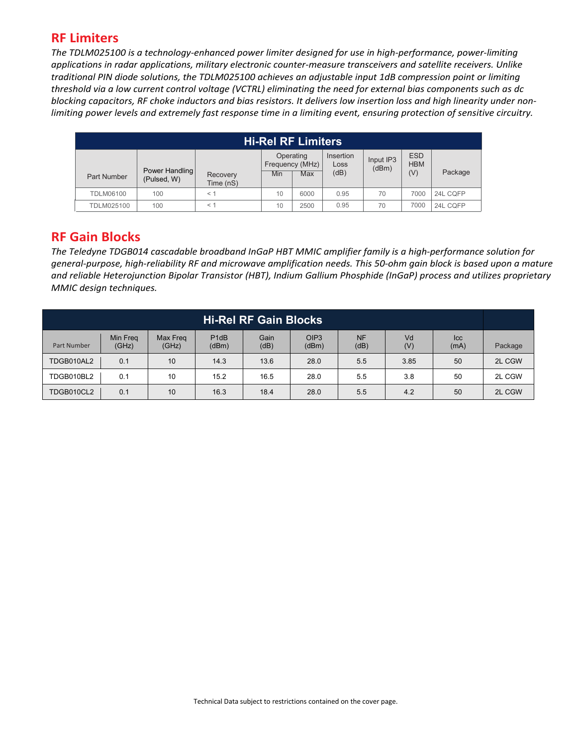#### **RF Limiters**

*The TDLM025100 is a technology-enhanced power limiter designed for use in high-performance, power-limiting applications in radar applications, military electronic counter-measure transceivers and satellite receivers. Unlike traditional PIN diode solutions, the TDLM025100 achieves an adjustable input 1dB compression point or limiting threshold via a low current control voltage (VCTRL) eliminating the need for external bias components such as dc blocking capacitors, RF choke inductors and bias resistors. It delivers low insertion loss and high linearity under nonlimiting power levels and extremely fast response time in a limiting event, ensuring protection of sensitive circuitry.* 

|                  | <b>Hi-Rel RF Limiters</b> |                       |     |                              |                   |                    |                          |          |  |  |  |  |  |
|------------------|---------------------------|-----------------------|-----|------------------------------|-------------------|--------------------|--------------------------|----------|--|--|--|--|--|
|                  | Power Handling            |                       |     | Operating<br>Frequency (MHz) | Insertion<br>Loss | Input IP3<br>(dBm) | <b>ESD</b><br><b>HBM</b> |          |  |  |  |  |  |
| Part Number      | (Pulsed, W)               | Recovery<br>Time (nS) | Min | Max                          | (dB)              |                    | (V)                      | Package  |  |  |  |  |  |
| <b>TDLM06100</b> | 100                       | $<$ 1                 | 10  | 6000                         | 0.95              | 70                 | 7000                     | 24L CQFP |  |  |  |  |  |
| TDLM025100       | 100                       | $<$ 1                 | 10  | 2500                         | 0.95              | 70                 | 7000                     | 24L CQFP |  |  |  |  |  |

#### **RF Gain Blocks**

*The Teledyne TDGB01 cas ì cadable broadband InGaP HBT MMIC amplifier family is a high-performance solution for general-purpose, high-reliability RF and microwave amplification needs. This 50-ohm gain block is based upon a mature and reliable Heterojunction Bipolar Transistor (HBT), Indium Gallium Phosphide (InGaP) process and utilizes proprietary MMIC design techniques.*

|             | <b>Hi-Rel RF Gain Blocks</b>                                                                                                                                       |    |      |      |      |     |      |    |        |  |  |  |  |  |
|-------------|--------------------------------------------------------------------------------------------------------------------------------------------------------------------|----|------|------|------|-----|------|----|--------|--|--|--|--|--|
| Part Number | OIP <sub>3</sub><br><b>NF</b><br>Min Freq<br>P <sub>1dB</sub><br>Gain<br>Vd<br>Max Freg<br> cc <br>(V)<br>(dB)<br>(dBm)<br>(GHz)<br>(GHz)<br>(dBm)<br>(dB)<br>(mA) |    |      |      |      |     |      |    |        |  |  |  |  |  |
| TDGB010AL2  | 0.1                                                                                                                                                                | 10 | 14.3 | 13.6 | 28.0 | 5.5 | 3.90 | 50 | 2L CGW |  |  |  |  |  |
| TDGB010BL2  | 0.1                                                                                                                                                                | 10 | 15.2 | 16.5 | 28.0 | 5.5 | 3.90 | 50 | 2L CGW |  |  |  |  |  |
| TDGB010CL2  | 0.1                                                                                                                                                                | 10 | 16.3 | 18.4 | 28.0 | 5.5 | 4.30 | 50 | 2L CGW |  |  |  |  |  |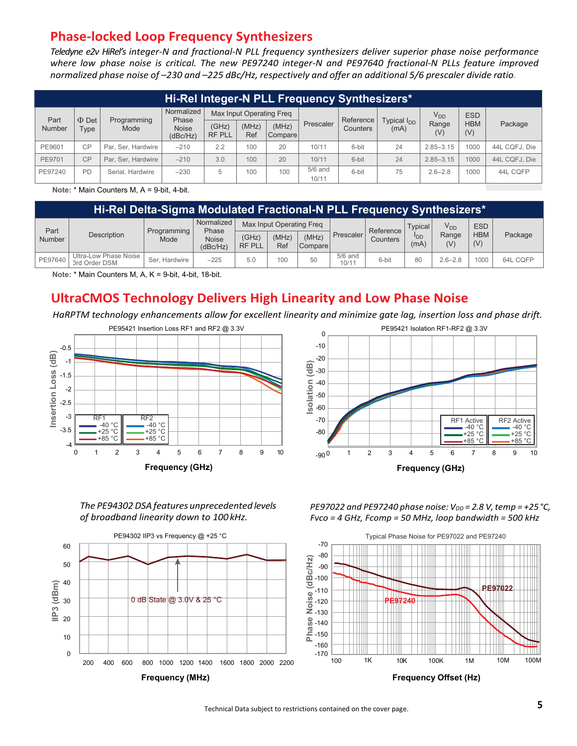#### **Phase-locked Loop Frequency Synthesizers**

*Teledyne e2v HiRel's integer-N and fractional-N PLL frequency synthesizers deliver superior phase noise performance where low phase noise is critical. The new PE97240 integer-N and PE97640 fractional-N PLLs feature improved normalized phase noise of –230 and –225 dBc/Hz, respectively and offer an additional 5/6 prescaler divide ratio.*

| Hi-Rel Integer-N PLL Frequency Synthesizers* |                    |                                            |                          |                          |              |                  |           |           |                         |               |                   |               |  |
|----------------------------------------------|--------------------|--------------------------------------------|--------------------------|--------------------------|--------------|------------------|-----------|-----------|-------------------------|---------------|-------------------|---------------|--|
| Part<br>Number                               | $\Phi$ Det<br>Type | Programming                                | Normalized<br>Phase      | Max Input Operating Freg |              |                  |           | Reference | Typical I <sub>nn</sub> | $V_{DD}$      | <b>ESD</b>        |               |  |
|                                              |                    | Mode                                       | <b>Noise</b><br>(dBc/Hz) | (GHz)<br><b>RF PLL</b>   | (MHz)<br>Ref | (MHz)<br>Compare | Prescaler | Counters  | (mA)                    | Range<br>(V)  | <b>HBM</b><br>(V) | Package       |  |
| PE9601                                       | CP                 | Par. Ser. Hardwire                         | $-210$                   | 2.2                      | 100          | 20               | 10/11     | 6-bit     | 24                      | $2.85 - 3.15$ | 1000              | 44L CQFJ, Die |  |
| PE9701                                       | CP                 | Par. Ser. Hardwire                         | $-210$                   | 3.0                      | 100          | 20               | 10/11     | 6-bit     | 24                      | $2.85 - 3.15$ | 1000              | 44L CQFJ, Die |  |
| PE97240                                      | PD                 | Serial, Hardwire                           | $-230$                   | 5                        | 100          | 100              | $5/6$ and | 6-bit     | 75                      | $2.6 - 2.8$   | 1000              | 44L CQFP      |  |
|                                              |                    | Note: * Main Counters M $A - 0$ -hit A-hit |                          |                          |              |                  | 10/11     |           |                         |               |                   |               |  |

**Note:** \* Main Counters M, A = 9-bit, 4-bit.

|                       | Hi-Rel Delta-Sigma Modulated Fractional-N PLL Frequency Synthesizers* |                     |                          |                          |              |                  |                    |                 |                |              |                   |          |  |  |
|-----------------------|-----------------------------------------------------------------------|---------------------|--------------------------|--------------------------|--------------|------------------|--------------------|-----------------|----------------|--------------|-------------------|----------|--|--|
| Part<br><b>Number</b> | <b>Description</b>                                                    | Programming<br>Mode | Normalized<br>Phase      | Max Input Operating Freg |              |                  |                    | Reference       | <b>Typical</b> | $V_{DD}$     | <b>ESD</b>        |          |  |  |
|                       |                                                                       |                     | <b>Noise</b><br>(dBc/Hz) | (GHz)<br><b>RF PLL</b>   | (MHz)<br>Ref | (MHz)<br>Compare | Prescaler          | <b>Counters</b> | ספי<br>(mA)    | Range<br>(V) | <b>HBM</b><br>(V) | Package  |  |  |
| PE97640               | Ultra-Low Phase Noise<br>3rd Order DSM                                | Ser. Hardwire       | $-225$                   | 5.0                      | 100          | 50               | $5/6$ and<br>10/11 | 6-bit           | 80             | $2.6 - 2.8$  | 1000              | 64L CQFP |  |  |

**Note:** \* Main Counters M, A, K = 9-bit, 4-bit, 18-bit.

#### **UltraCMOS Technology Delivers High Linearity and Low Phase Noise**

*HaRPTM technology enhancements allow for excellent linearity and minimize gate lag, insertion loss and phase drift.*





*The PE94302 DSA features unprecedented levels of broadband linearity down to 100kHz.*



*PE97022 and PE97240 phase noise: VDD = 2.8 V,temp = +25°C, Fvco = 4 GHz, Fcomp = 50 MHz, loop bandwidth = 500 kHz*



Technical Data subject to restrictions contained on the cover page.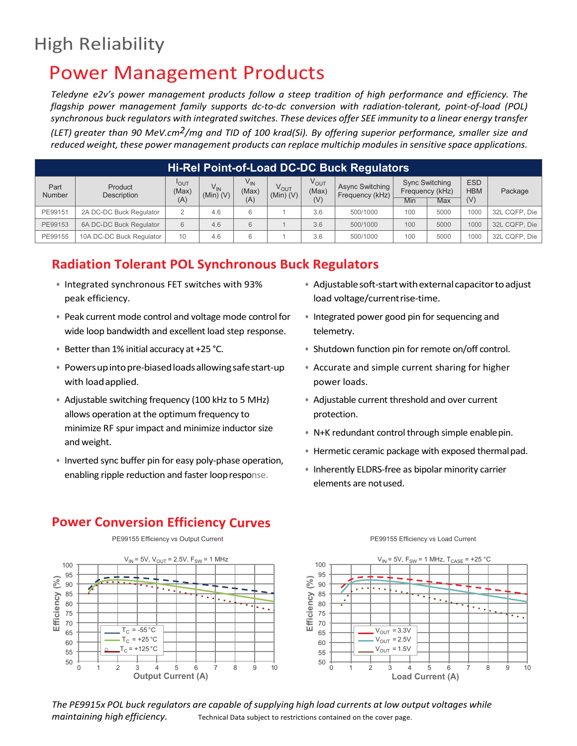## High Reliability

### Power Management Products

*Teledyne e2v's power management products follow a steep tradition of high performance and efficiency. The flagship power management family supports dc-to-dc conversion with radiation-tolerant, point-of-load (POL) synchronous buck regulators with integrated switches. These devices offer SEE immunity to a linear energy transfer*

*(LET) greater than 90 MeV.cm2/mg and TID of 100 krad(Si). By offering superior performance, smaller size and reduced weight, these power management products can replace multichip modules in sensitive space applications.*

|                       | Hi-Rel Point-of-Load DC-DC Buck Regulators |                           |                           |                   |                            |                    |                                           |     |                                          |                          |               |  |  |  |
|-----------------------|--------------------------------------------|---------------------------|---------------------------|-------------------|----------------------------|--------------------|-------------------------------------------|-----|------------------------------------------|--------------------------|---------------|--|--|--|
| Part<br><b>Number</b> | Product<br>Description                     | I <sub>OUT</sub><br>(Max) | $V_{IN}$<br>$(Min)$ $(V)$ | $V_{IN}$<br>(Max) | $V_{OUT}$<br>$(Min)$ $(V)$ | $V_{OUT}$<br>(Max) | <b>Async Switching</b><br>Frequency (kHz) |     | <b>Sync Switching</b><br>Frequency (kHz) | <b>ESD</b><br><b>HBM</b> | Package       |  |  |  |
|                       |                                            | (A)                       |                           | (A)               |                            | (V)                |                                           | Min | Max                                      | (V)                      |               |  |  |  |
| PE99151               | 2A DC-DC Buck Regulator                    |                           | 4.6                       | 6                 |                            | 3.6                | 500/1000                                  | 100 | 5000                                     | 1000                     | 32L CQFP, Die |  |  |  |
| PE99153               | 6A DC-DC Buck Regulator                    | 6                         | 4.6                       | 6                 |                            | 3.6                | 500/1000                                  | 100 | 5000                                     | 1000                     | 32L CQFP, Die |  |  |  |
| PE99155               | 10A DC-DC Buck Regulator                   | 10                        | 4.6                       | 6                 |                            | 3.6                | 500/1000                                  | 100 | 5000                                     | 1000                     | 32L CQFP, Die |  |  |  |

#### **Radiation Tolerant POL Synchronous Buck Regulators**

- Integrated synchronous FET switches with 93% peak efficiency.
- Peak current mode control and voltage mode control for wide loop bandwidth and excellent load step response.
- Better than 1% initial accuracy at +25  $°C$ .
- Powersupintopre-biasedloadsallowingsafestart-up with loadapplied.
- Adjustable switching frequency (100 kHz to 5 MHz) allows operation at the optimum frequency to minimize RF spur impact and minimize inductor size and weight.
- Inverted sync buffer pin for easy poly-phase operation, enabling ripple reduction and faster loopresponse.

**Power Conversion Efficiency Curves**

- Adjustable soft-start with external capacitor to adjust load voltage/currentrise-time.
- Integrated power good pin for sequencing and telemetry.
- Shutdown function pin for remote on/off control.
- Accurate and simple current sharing for higher power loads.
- Adjustable current threshold and over current protection.
- N+K redundant control through simple enablepin.
- Hermetic ceramic package with exposed thermalpad.
- Inherently ELDRS-free as bipolar minority carrier elements are notused.



PE99155 Efficiency vs Output Current **PE99155** Efficiency vs Load Current



*The PE9915x POL buck regulators are capable of supplying high load currents at low output voltages while maintaining high efficiency.* Technical Data subject to restrictions contained on the cover page.